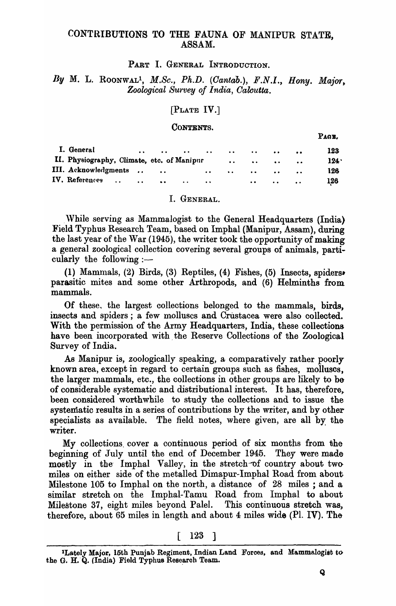## CONTRIBUTIONS TO THE FAUNA OF MANIPUR STATE, ASSAM.

PART I. GENERAL INTRODUCTION.

By M. L. ROONWAL<sup>1</sup>, *M.Sc., Ph.D.* (Cantab.), F.N.I., Hony. Major, *Zoological* SU1'vey *of India, Oalcutta.* 

### [PLATE IV.]

#### CONTENTS.

| I. General                                 | $\bullet$ $\bullet$ |                   | $\bullet$ $\bullet$ | $\sim$ $\sim$ $\sim$ $\sim$                                                                                                                                                                                                   |                                                                                                                                                                                                                                |                                                       | $\bullet$     | 123  |
|--------------------------------------------|---------------------|-------------------|---------------------|-------------------------------------------------------------------------------------------------------------------------------------------------------------------------------------------------------------------------------|--------------------------------------------------------------------------------------------------------------------------------------------------------------------------------------------------------------------------------|-------------------------------------------------------|---------------|------|
| II. Physiography, Climate, etc. of Manipur |                     |                   |                     |                                                                                                                                                                                                                               |                                                                                                                                                                                                                                | $\bullet \bullet$ $\bullet \bullet$ $\bullet \bullet$ | $\sim$ $\sim$ | 124. |
| III. Acknowledgments                       |                     |                   |                     | and the second control and the second control of the second control of the second control of the second control of the second control of the second control of the second control of the second control of the second control |                                                                                                                                                                                                                                |                                                       |               | 126  |
| IV. References                             |                     | $\bullet \bullet$ | $\bullet$           | $\bullet$                                                                                                                                                                                                                     | and the contract of the contract of the contract of the contract of the contract of the contract of the contract of the contract of the contract of the contract of the contract of the contract of the contract of the contra |                                                       |               | 126  |

#### I. GENERAL.

While serving as Mammalogist to the General Headquarters (India) Field Typhus Research Team, based on Imphal (Manipur, Assam), during the last year of the War (1945), the writer took the opportunity of making a general zoological collection covering several groups of animals, particularly the following: $-$ 

(1) Mammals, (2) Birds, (3) Reptiles, (4) Fishes, (5) Insects, spiders. parasitic mites and some other Arthropods, and (6) Helminths from mammals.

Of these, the largest collections belonged to the mammals, birds, insects and spiders; a few molluscs and Crustacea were also collected. With the permission of the Army Headquarters, India, these collections have been incorporated with the Reserve Collections of the Zoological Survey of India.

As Manipur is, zoologically speaking, a comparatively rather poorly known area, except in regard to certain groups such as fishes, molluscs, the larger mammals, etc., the collections in other groups are likely to be of considerable systematic and distributional interest. It has, therefore" been considered worthwhile to study the collections and to issue the systematic results in a series of contributions by the writer, and by other specialists as available. The field notes, where given, are all by the writer.

My collections. cover a continuous period of six months from the beginning of July until the end of December 1945. They were mademostly in the Imphal Valley, in the stretch-of country about twomiles on either side of the metalled Dimapur-Imphal Road from about Milestone 105 to Imphal on the north, a distance of 28 miles; and a similar stretch on the Imphal-Tamu Road from Imphal to about Milestone 37, eight miles beyond Palel. This continuous stretch was, therefore, about 65 miles in length and about 4 miles wide (PI. IV). The

[ 123 ]

PAGE.

<sup>&</sup>lt;sup>1</sup>Lately Major, 15th Punjab Regiment, Indian Land Forces, and Mammalogist to the G. H. Q. (India) Field Typhus Research Team.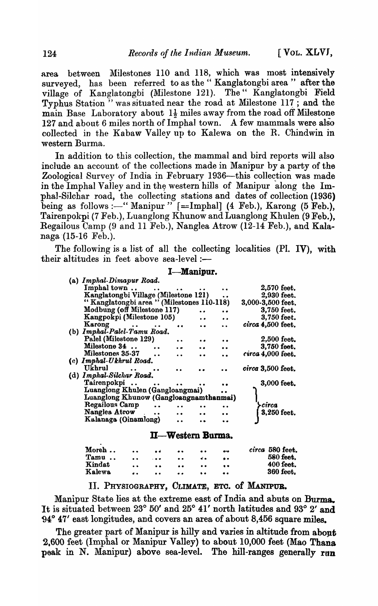area between Milestones 110 and 118, which was most intensively surveyed, has been referred to as the "Kanglatongbi area" after the village of Kanglatongbi (Milestone 121). The" Kanglatongbi Field Typhus Station<sup>"</sup> was situated near the road at Milestone  $117$ ; and the main Base Laboratory about  $1\frac{1}{2}$  miles away from the road off Milestone 127 and about 6 miles north of Imphal town. A few mammals were also collected in the Kabaw Valley up to Kalewa on the R. Chindwin in western Burma.

In addition to this collection, the mammal and bird reports will also include an account of the collections made in Manipur by a party of the Zoological Survey of India in February 1936-this collection was made in the Imphal Valley and in the western hills of Manipur along the Imphal-Silchar road, the collecting stations and dates of collection (1936) being as follows :-" Manipur " $[==Imphal]$  (4 Feb.), Karong (5 Feb.), Tairenpokpi (7 Feb.), Luanglong Khunow and Luanglong Khulen (9 Feb.), Regailous Camp (9 and 11 Feb.), Nanglea Atrow (12-14 Feb.), and Kalanaga (15-16 Feb.).

The following is a list of all the collecting localities (Pl. IV), with their altitudes in feet above sea-level : $-$ 

### I-Manipur.

| (a) Imphal-Dimapur Road.                          |                      |           |                   |
|---------------------------------------------------|----------------------|-----------|-------------------|
| Imphal town                                       |                      |           | 2,570 feet.       |
| Kanglatongbi Village (Milestone 121)              |                      | $\bullet$ | 2,930 feet.       |
| "Kanglatongbi area " (Milestones 110-118)         |                      |           | 3,000-3,500 feet. |
| Modbung (off Milestone 117)                       |                      |           | 3,750 feet.       |
| Kangpokpi (Milestone 105)                         | $\ddot{\phantom{a}}$ | $\bullet$ | 3,750 feet.       |
| Karong                                            |                      |           | circa 4,500 feet. |
| (b) Imphal-Palel-Tamu Road.                       |                      |           |                   |
| Palel (Milestone 129)                             |                      |           | $2,500$ feet.     |
| Milestone 34                                      |                      |           | 3,750 feet.       |
| Milestones 35-37                                  |                      |           | circa 4,000 feet. |
| (c) Imphal-Ukhrul Road.                           |                      |           |                   |
| Ukhrul<br>$\mathcal{L} = \mathcal{L} \mathcal{L}$ |                      |           | circa 3,500 feet. |
| (d) Imphal-Silchar Road.                          |                      |           |                   |
| Tairenpokpi                                       |                      |           | 3,000 feet.       |
| Luanglong Khulen (Gangloangmai)                   |                      |           |                   |
| Luanglong Khunow (Gangloangnamthanmai)            |                      |           |                   |
| Regailous Camp<br>$\ddot{\phantom{a}}$            |                      |           | -circa            |
| Nanglea Atrow                                     |                      |           | 3,250 feet.       |
|                                                   |                      |           |                   |
| Kalanaga (Oinamlong)                              |                      |           |                   |
|                                                   |                      |           |                   |

#### II-Western Burma.

| Moreh  | $\bullet$ | $-4$                 | $\bullet\bullet$ | $\bullet\bullet$ | e <sub>7</sub>   | circa 580 feet. |
|--------|-----------|----------------------|------------------|------------------|------------------|-----------------|
| Tamu   | $\bullet$ | $\sim$ $\sim$ $\sim$ | $\bullet\bullet$ | . .              | $\bullet\bullet$ | 580 feet.       |
| Kindat | $\bullet$ | $\bullet$            | $\bullet\bullet$ | $\bullet$        | $\bullet$        | 400 feet.       |
| Kalewa | . .       | $\bullet$            | $\bullet\bullet$ | $\bullet$        |                  | 360 feet.       |

# II. PHYSIOGRAPHY, CLIMATE, ETC. of MANIPUB.

Manipur State lies at the extreme east of India and abuts on Burma. It is situated between 23° 50' and 25° 41' north latitudes and 93° 2' and g4° 47' east longitudes, and covers an area of about 8,456 square miles.

The greater part of Manipur is hilly and varies in altitude from about 2.600 feet (Imphal or Manipur Valley) to about 10,000 feet (Mao Thana peak in N. Manipur) above sea-level. The hill-ranges generally run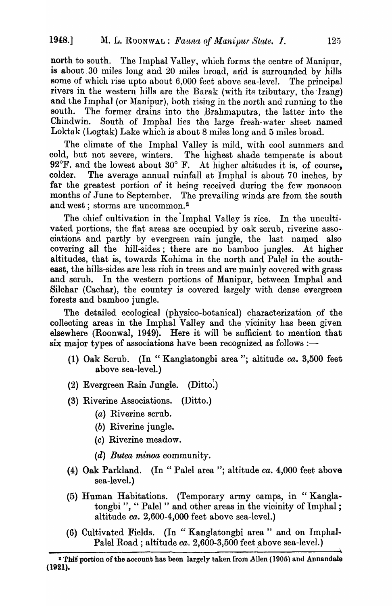north to south. The Imphal Valley, which forms the centre of Manipur, is about 30 miles long and 20 miles broad, and is surrounded by hills some of which rise upto about 6,000 feet above sea-level. The principal rivers in the western hills are the Barak (with its tributary, the Irang) and the Imphal (or Manipur), both rising in the north and running to the south. The former drains into the Brahmaputra, the latter into the Chindwin. South of Imphal lies the large fresh-water sheet named Loktak (Logtak) Lake which is about 8 miles long and 5 miles broad.

The climate of the Imphal Valley is mild, with cool summers and cold, but not severe, winters. The highest shade temperate is about 92 $\mathrm{F}$ , and the lowest about 30 $\mathrm{F}$ . At higher altitudes it is, of course, The average annual rainfall at Imphal is about 70 inches, by colder. far the greatest portion of it being received during the few monsoon months of June to September. The prevailing winds are from the south and west; storms are uncommon.<sup>2</sup>

The chief cultivation in the Imphal Valley is rice. In the uncultivated portions, the flat areas are occupied by oak scrub, riverine associations and partly by evergreen rain jungle, the last named also covering all the hill-sides; there are no bamboo jungles. At higher altitudes, that is, towards Kohima in the north and Palel in the southeast, the hills-sides are less rich in trees and are mainly covered with grass and scrub. In the western portions of Manipur, between Imphal and Silchar (Cachar), the country is covered largely with dense evergreen forests and bamboo jungle.

The detailed ecological (physico-botanical) characterization of the collecting areas in the Imphal Valley and the vicinity has been given elsewhere (Roonwal, 1949). Here it will be sufficient to mention that six major types of associations have been recognized as follows :-

- (1) Oak Scrub. (In "Kanglatongbi area"; altitude ca. 3,500 feet above sea-level.)
- $(Ditto.)$ (2) Evergreen Rain Jungle.
- (3) Riverine Associations. (Ditto.)
	- (a) Riverine scrub.
	- (b) Riverine jungle.
	- (c) Riverine meadow.
	- $(d)$  Butea minoa community.
- (4) Oak Parkland. (In "Palel area"; altitude ca. 4,000 feet above sea-level.)
- (5) Human Habitations. (Temporary army camps, in "Kanglatongbi", "Palel" and other areas in the vicinity of Imphal; altitude ca. 2,600-4,000 feet above sea-level.)
- (6) Cultivated Fields. (In "Kanglatongbi area" and on Imphal-Palel Road; altitude  $ca. 2,600-3,500$  feet above sea-level.)

<sup>&</sup>lt;sup>2</sup> This portion of the account has been largely taken from Allen (1905) and Annandale  $(1921).$